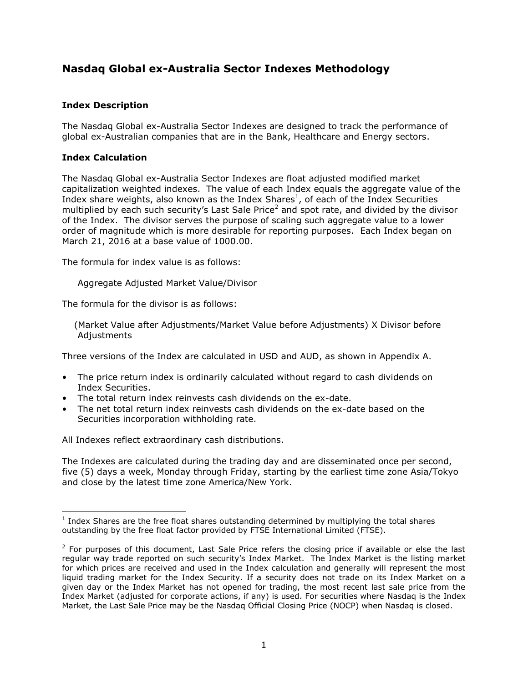## **Nasdaq Global ex-Australia Sector Indexes Methodology**

#### **Index Description**

The Nasdaq Global ex-Australia Sector Indexes are designed to track the performance of global ex-Australian companies that are in the Bank, Healthcare and Energy sectors.

#### **Index Calculation**

The Nasdaq Global ex-Australia Sector Indexes are float adjusted modified market capitalization weighted indexes.The value of each Index equals the aggregate value of the Index share weights, also known as the Index Shares<sup>1</sup>, of each of the Index Securities multiplied by each such security's Last Sale Price<sup>2</sup> and spot rate, and divided by the divisor of the Index. The divisor serves the purpose of scaling such aggregate value to a lower order of magnitude which is more desirable for reporting purposes. Each Index began on March 21, 2016 at a base value of 1000.00.

The formula for index value is as follows:

Aggregate Adjusted Market Value/Divisor

The formula for the divisor is as follows:

 (Market Value after Adjustments/Market Value before Adjustments) X Divisor before Adjustments

Three versions of the Index are calculated in USD and AUD, as shown in Appendix A.

- The price return index is ordinarily calculated without regard to cash dividends on Index Securities.
- The total return index reinvests cash dividends on the ex-date.
- The net total return index reinvests cash dividends on the ex-date based on the Securities incorporation withholding rate.

All Indexes reflect extraordinary cash distributions.

The Indexes are calculated during the trading day and are disseminated once per second, five (5) days a week, Monday through Friday, starting by the earliest time zone Asia/Tokyo and close by the latest time zone America/New York.

 $<sup>1</sup>$  Index Shares are the free float shares outstanding determined by multiplying the total shares</sup> outstanding by the free float factor provided by FTSE International Limited (FTSE).

 $2$  For purposes of this document, Last Sale Price refers the closing price if available or else the last regular way trade reported on such security's Index Market. The Index Market is the listing market for which prices are received and used in the Index calculation and generally will represent the most liquid trading market for the Index Security. If a security does not trade on its Index Market on a given day or the Index Market has not opened for trading, the most recent last sale price from the Index Market (adjusted for corporate actions, if any) is used. For securities where Nasdaq is the Index Market, the Last Sale Price may be the Nasdaq Official Closing Price (NOCP) when Nasdaq is closed.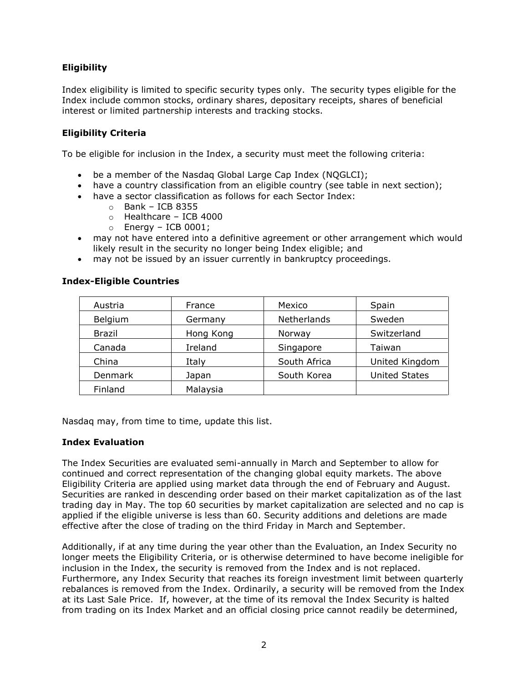### **Eligibility**

Index eligibility is limited to specific security types only. The security types eligible for the Index include common stocks, ordinary shares, depositary receipts, shares of beneficial interest or limited partnership interests and tracking stocks.

### **Eligibility Criteria**

To be eligible for inclusion in the Index, a security must meet the following criteria:

- be a member of the Nasdaq Global Large Cap Index (NQGLCI);
- have a country classification from an eligible country (see table in next section);
- have a sector classification as follows for each Sector Index:
	- $\circ$  Bank ICB 8355
	- o Healthcare ICB 4000
	- $\circ$  Energy ICB 0001;
- may not have entered into a definitive agreement or other arrangement which would likely result in the security no longer being Index eligible; and
- may not be issued by an issuer currently in bankruptcy proceedings.

# Austria | France | Mexico | Spain Belgium | Germany | Netherlands | Sweden Brazil Hong Kong Norway Switzerland Canada | Ireland | Singapore | Taiwan China Italy Italy South Africa | United Kingdom Denmark | Japan | South Korea | United States Finland | Malaysia

### **Index-Eligible Countries**

Nasdaq may, from time to time, update this list.

#### **Index Evaluation**

The Index Securities are evaluated semi-annually in March and September to allow for continued and correct representation of the changing global equity markets. The above Eligibility Criteria are applied using market data through the end of February and August. Securities are ranked in descending order based on their market capitalization as of the last trading day in May. The top 60 securities by market capitalization are selected and no cap is applied if the eligible universe is less than 60. Security additions and deletions are made effective after the close of trading on the third Friday in March and September.

Additionally, if at any time during the year other than the Evaluation, an Index Security no longer meets the Eligibility Criteria, or is otherwise determined to have become ineligible for inclusion in the Index, the security is removed from the Index and is not replaced. Furthermore, any Index Security that reaches its foreign investment limit between quarterly rebalances is removed from the Index. Ordinarily, a security will be removed from the Index at its Last Sale Price. If, however, at the time of its removal the Index Security is halted from trading on its Index Market and an official closing price cannot readily be determined,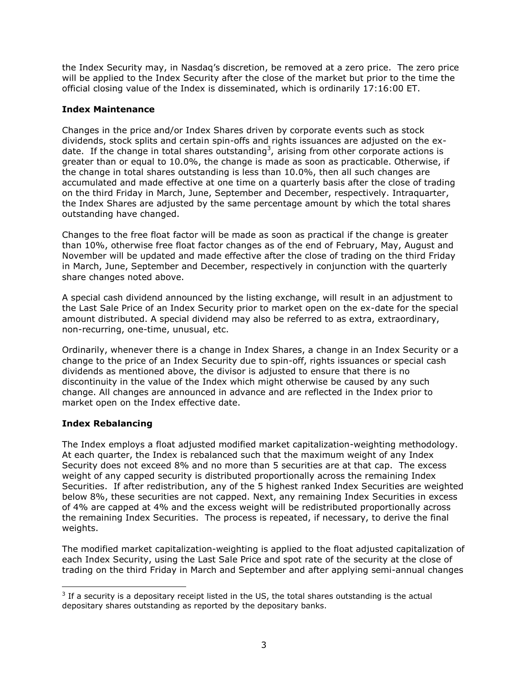the Index Security may, in Nasdaq's discretion, be removed at a zero price. The zero price will be applied to the Index Security after the close of the market but prior to the time the official closing value of the Index is disseminated, which is ordinarily 17:16:00 ET.

#### **Index Maintenance**

Changes in the price and/or Index Shares driven by corporate events such as stock dividends, stock splits and certain spin-offs and rights issuances are adjusted on the exdate. If the change in total shares outstanding<sup>3</sup>, arising from other corporate actions is greater than or equal to 10.0%, the change is made as soon as practicable. Otherwise, if the change in total shares outstanding is less than 10.0%, then all such changes are accumulated and made effective at one time on a quarterly basis after the close of trading on the third Friday in March, June, September and December, respectively. Intraquarter, the Index Shares are adjusted by the same percentage amount by which the total shares outstanding have changed.

Changes to the free float factor will be made as soon as practical if the change is greater than 10%, otherwise free float factor changes as of the end of February, May, August and November will be updated and made effective after the close of trading on the third Friday in March, June, September and December, respectively in conjunction with the quarterly share changes noted above.

A special cash dividend announced by the listing exchange, will result in an adjustment to the Last Sale Price of an Index Security prior to market open on the ex-date for the special amount distributed. A special dividend may also be referred to as extra, extraordinary, non-recurring, one-time, unusual, etc.

Ordinarily, whenever there is a change in Index Shares, a change in an Index Security or a change to the price of an Index Security due to spin-off, rights issuances or special cash dividends as mentioned above, the divisor is adjusted to ensure that there is no discontinuity in the value of the Index which might otherwise be caused by any such change. All changes are announced in advance and are reflected in the Index prior to market open on the Index effective date.

### **Index Rebalancing**

The Index employs a float adjusted modified market capitalization-weighting methodology. At each quarter, the Index is rebalanced such that the maximum weight of any Index Security does not exceed 8% and no more than 5 securities are at that cap. The excess weight of any capped security is distributed proportionally across the remaining Index Securities. If after redistribution, any of the 5 highest ranked Index Securities are weighted below 8%, these securities are not capped. Next, any remaining Index Securities in excess of 4% are capped at 4% and the excess weight will be redistributed proportionally across the remaining Index Securities. The process is repeated, if necessary, to derive the final weights.

The modified market capitalization-weighting is applied to the float adjusted capitalization of each Index Security, using the Last Sale Price and spot rate of the security at the close of trading on the third Friday in March and September and after applying semi-annual changes

 $3$  If a security is a depositary receipt listed in the US, the total shares outstanding is the actual depositary shares outstanding as reported by the depositary banks.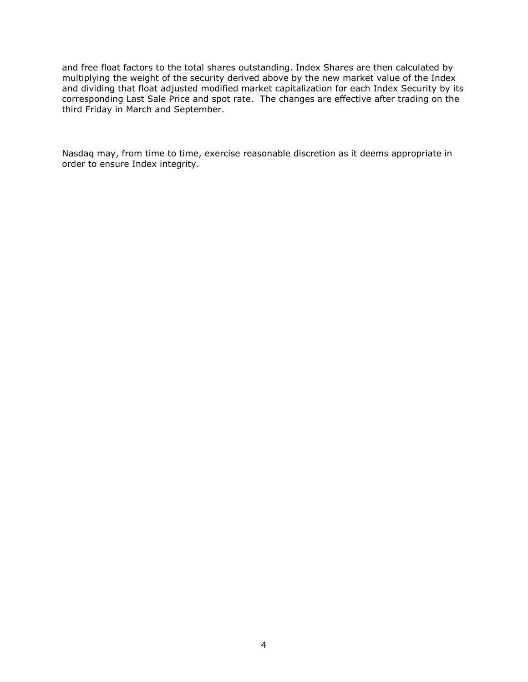and free float factors to the total shares outstanding. Index Shares are then calculated by multiplying the weight of the security derived above by the new market value of the Index and dividing that float adjusted modified market capitalization for each Index Security by its corresponding Last Sale Price and spot rate. The changes are effective after trading on the third Friday in March and September.

Nasdaq may, from time to time, exercise reasonable discretion as it deems appropriate in order to ensure Index integrity.